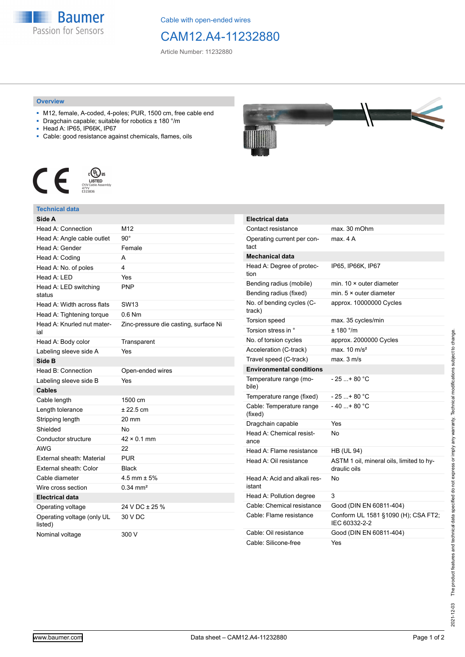

Cable with open-ended wires

# CAM12.A4-11232880

Article Number: 11232880

### **Overview**

- M12, female, A-coded, 4-poles; PUR, 1500 cm, free cable end
- Dragchain capable; suitable for robotics ± 180 °/m
- Head A: IP65, IP66K, IP67
- Cable: good resistance against chemicals, flames, oils



### **Technical data**

| Side A                                |                                       |
|---------------------------------------|---------------------------------------|
| Head A: Connection                    | M12                                   |
| Head A: Angle cable outlet            | $90^{\circ}$                          |
| Head A: Gender                        | Female                                |
| Head A: Coding                        | A                                     |
| Head A: No. of poles                  | 4                                     |
| Head A: LED                           | Yes                                   |
| Head A: LED switching<br>status       | PNP                                   |
| Head A: Width across flats            | SW13                                  |
| Head A: Tightening torque             | $0.6$ Nm                              |
| Head A: Knurled nut mater-<br>ial     | Zinc-pressure die casting, surface Ni |
| Head A: Body color                    | Transparent                           |
| Labeling sleeve side A                | Yes                                   |
| Side B                                |                                       |
| Head B: Connection                    | Open-ended wires                      |
| Labeling sleeve side B                | Yes                                   |
| Cables                                |                                       |
| Cable length                          | 1500 cm                               |
| Length tolerance                      | ± 22.5 cm                             |
| Stripping length                      | 20 mm                                 |
| Shielded                              | No                                    |
| Conductor structure                   | $42 \times 0.1$ mm                    |
| <b>AWG</b>                            | 22                                    |
| External sheath: Material             | <b>PUR</b>                            |
| External sheath: Color                | <b>Black</b>                          |
| Cable diameter                        | 4.5 mm $\pm$ 5%                       |
| Wire cross section                    | $0.34$ mm <sup>2</sup>                |
| <b>Electrical data</b>                |                                       |
| Operating voltage                     | 24 V DC ± 25 %                        |
| Operating voltage (only UL<br>listed) | 30 V DC                               |
| Nominal voltage                       | 300 V                                 |



| <b>Electrical data</b>                 |                                                          |
|----------------------------------------|----------------------------------------------------------|
| Contact resistance                     | max. 30 mOhm                                             |
| Operating current per con-<br>tact     | max 4 A                                                  |
| <b>Mechanical data</b>                 |                                                          |
| Head A: Degree of protec-<br>tion      | IP65, IP66K, IP67                                        |
| Bending radius (mobile)                | min. $10 \times$ outer diameter                          |
| Bending radius (fixed)                 | min. $5 \times$ outer diameter                           |
| No. of bending cycles (C-<br>track)    | approx. 10000000 Cycles                                  |
| Torsion speed                          | max. 35 cycles/min                                       |
| Torsion stress in °                    | ± 180 °/m                                                |
| No. of torsion cycles                  | approx. 2000000 Cycles                                   |
| Acceleration (C-track)                 | max. $10 \text{ m/s}^2$                                  |
| Travel speed (C-track)                 | max. 3 m/s                                               |
| <b>Environmental conditions</b>        |                                                          |
| Temperature range (mo-<br>bile)        | - 25 + 80 °C                                             |
| Temperature range (fixed)              | - 25 + 80 °C                                             |
| Cable: Temperature range<br>(fixed)    | $-40+80 °C$                                              |
| Dragchain capable                      | Yes                                                      |
| Head A: Chemical resist-<br>ance       | No                                                       |
| Head A: Flame resistance               | HB (UL 94)                                               |
| Head A: Oil resistance                 | ASTM 1 oil, mineral oils, limited to hy-<br>draulic oils |
| Head A: Acid and alkali res-<br>istant | No                                                       |
| Head A: Pollution degree               | 3                                                        |
| Cable: Chemical resistance             | Good (DIN EN 60811-404)                                  |
| Cable: Flame resistance                | Conform UL 1581 §1090 (H); CSA FT2;<br>IEC 60332-2-2     |
| Cable: Oil resistance                  | Good (DIN EN 60811-404)                                  |
| Cable: Silicone-free                   | Yes                                                      |